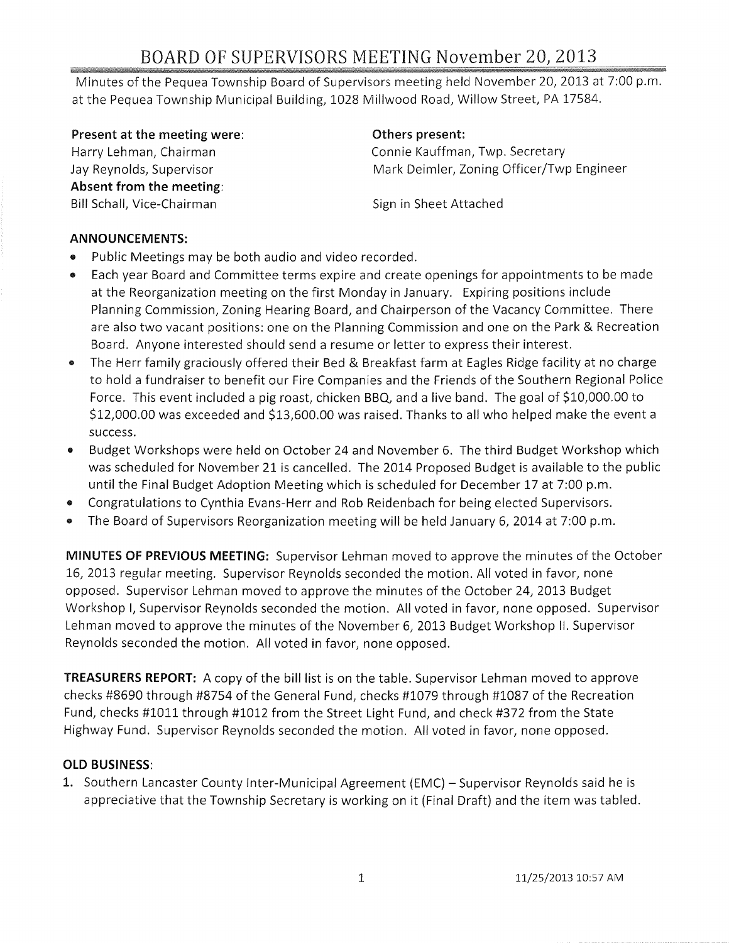# BOARD OF SUPERVISORS MEETING November 20,2013

Minutes of the Pequea Township Board of Supervisors meeting held November 20, 2013 at 7:00 p.m. at the Pequea Township Municipal Building, 1028 Millwood Road, Willow Street, PA 17584.

Present at the meeting were:

Harry Lehman, Chairman Jay Reynolds, Supervisor Absent from the meeting: Bill Schall, Vice-Chairman

#### Others present:

Connie Kauffman, Twp. Secretary Mark Deimler, Zoning Officer/Twp Engineer

Sign in Sheet Attached

#### ANNOUNCEMENTS:

- Public Meetings may be both audio and video recorded.
- Each year Board and Committee terms expire and create openings for appointments to be made at the Reorganization meeting on the first Monday in January. Expiring positions include Planning Commission, Zoning Hearing Board, and Chairperson of the Vacancy Committee. There are also two vacant positions: one on the Planning Commission and one on the Park & Recreation Board. Anyone interested should send a resume or letter to express their interest.
- The Herr family graciously offered their Bed & Breakfast farm at Eagles Ridge facility at no charge to hold a fundraiser to benefit our Fire Companies and the Friends of the Southern Regional Police Force. This event included a pig roast, chicken BBQ, and a live band. The goal of \$10,000.00 to \$12,000.00 was exceeded and \$13,600.00 was raised. Thanks to all who helped make the event a success.
- Budget Workshops were held on October 24 and November 6. The third Budget Workshop which was scheduled for November 21 is cancelled. The 2014 Proposed Budget is available to the public until the Final Budget Adoption Meeting which is scheduled for December 17 at 7:00 p.m.
- Congratulations to Cynthia Evans-Herr and Rob Reidenbach for being elected Supervisors.
- The Board of Supervisors Reorganization meeting will be held January 6, 2014 at 7:00 p.m.

MINUTES OF PREVIOUS MEETING: Supervisor Lehman moved to approve the minutes of the October 16, 2013 regular meeting. Supervisor Reynolds seconded the motion. All voted in favor, none opposed. Supervisor Lehman moved to approve the minutes of the October 24, 2013 Budget Workshop I, Supervisor Reynolds seconded the motion. All voted in favor, none opposed. Supervisor Lehman moved to approve the minutes of the November 6, 2013 Budget Workshop II. Supervisor Reynolds seconded the motion. All voted in favor, none opposed.

TREASURERS REPORT: A copy of the bill list is on the table. Supervisor Lehman moved to approve checks #8690 through #8754 of the General Fund, checks #1079 through #1087 of the Recreation Fund, checks #1011 through #1012 from the Street Light Fund, and check #372 from the State Highway Fund. Supervisor Reynolds seconded the motion. All voted in favor, none opposed.

# OLD BUSINESS:

1. Southern Lancaster County Inter-Municipal Agreement (EMC) – Supervisor Reynolds said he is appreciative that the Township Secretary is working on it (Final Draft) and the item was tabled.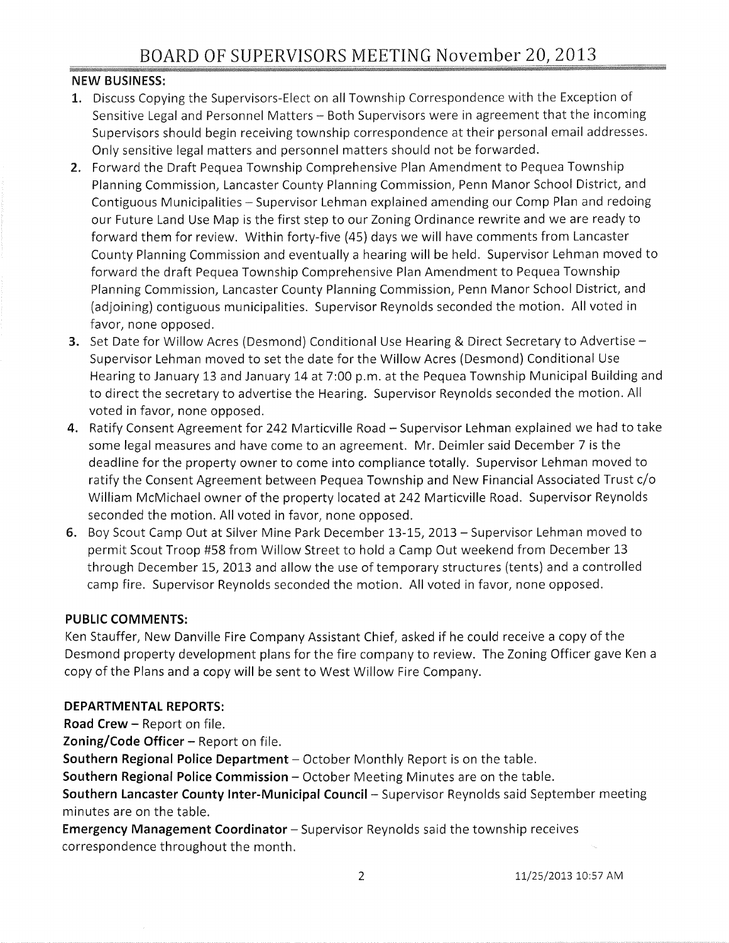# **NEW** BUSINESS:

- 1. Discuss Copying the Supervisors-Elect on all Township Correspondence with the Exception of Sensitive Legal and Personnel Matters - Both Supervisors were in agreement that the incoming Supervisors should begin receiving township correspondence at their personal email addresses. Only sensitive legal matters and personnel matters should not be forwarded.
- 2. Forward the Draft Pequea Township Comprehensive Plan Amendment to Pequea Township Planning Commission, Lancaster County Planning Commission, Penn Manor School District, and Contiguous Municipalities - Supervisor Lehman explained amending our Comp Plan and redoing our Future Land Use Map is the first step to our Zoning Ordinance rewrite and we are ready to forward them for review. Within forty-five (45) days we will have comments from Lancaster County Planning Commission and eventually a hearing will be held. Supervisor Lehman moved to forward the draft Pequea Township Comprehensive Plan Amendment to Pequea Township Planning Commission, Lancaster County Planning Commission, Penn Manor School District, and (adjoining) contiguous municipalities. Supervisor Reynolds seconded the motion. All voted in favor, none opposed.
- 3. Set Date for Willow Acres (Desmond) Conditional Use Hearing & Direct Secretary to Advertise -Supervisor Lehman moved to set the date for the Willow Acres (Desmond) Conditional Use Hearing to January 13 and January 14 at 7:00 p.m. at the Pequea Township Municipal Building and to direct the secretary to advertise the Hearing. Supervisor Reynolds seconded the motion. All voted in favor, none opposed.
- **4.** Ratify Consent Agreement for 242 Marticville Road Supervisor Lehman explained we had to take some legal measures and have come to an agreement. Mr. Deimler said December 7 is the deadline for the property owner to come into compliance totally. Supervisor Lehman moved to ratify the Consent Agreement between Pequea Township and New Financial Associated Trust c/o William McMichael owner of the property located at 242 Marticville Road. Supervisor Reynolds seconded the motion. All voted in favor, none opposed.
- 6. Boy Scout Camp Out at Silver Mine Park December 13-15, 2013 Supervisor Lehman moved to permit Scout Troop #58 from Willow Street to hold a Camp Out weekend from December 13 through December 15, 2013 and allow the use of temporary structures (tents) and a controlled camp fire. Supervisor Reynolds seconded the motion. All voted in favor, none opposed.

# **PUBLIC COMMENTS:**

Ken Stauffer, New Danville Fire Company Assistant Chief, asked if he could receive a copy of the Desmond property development plans for the fire company to review. The Zoning Officer gave Ken a copy of the Plans and a copy will be sent to West Willow Fire Company.

# **DEPARTMENTAL REPORTS:**

**Road Crew - Report on file.** 

**Zoning/Code Officer** - Report on file.

**Southern Regional Police Department** – October Monthly Report is on the table.

**Southern Regional Police Commission - October Meeting Minutes are on the table.** 

**Southern Lancaster County Inter-Municipal Council-** Supervisor Reynolds said September meeting minutes are on the table.

**Emergency Management Coordinator** - Supervisor Reynolds said the township receives correspondence throughout the month.

2 11/25/2013 10:57 AM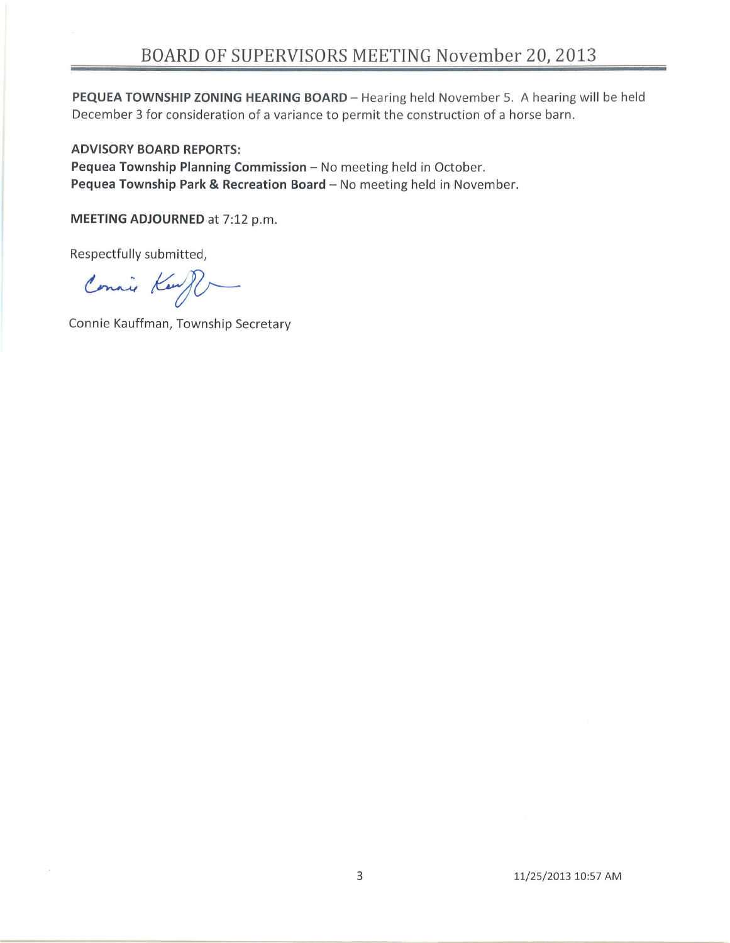PEQUEA TOWNSHIP ZONING HEARING BOARD - Hearing held November 5. A hearing will be held December 3 for consideration of a variance to permit the construction of a horse barn.

#### **ADVISORY BOARD REPORTS:**

Pequea Township Planning Commission - No meeting held in October. **Pequea Township Park & Recreation Board** - No meeting held in November.

**MEETING ADJOURNED** at 7:12 p.m.

Respectfully submitted,

Connie Kenfl

Connie Kauffman, Township Secretary